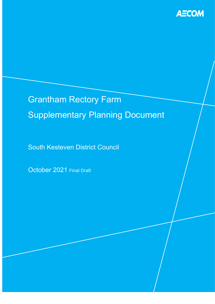

# Grantham Rectory Farm Supplementary Planning Document

South Kesteven District Council

October 2021 Final Draft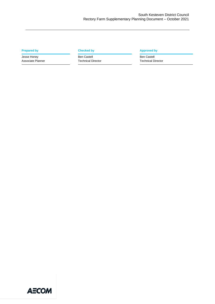Jesse Honey Associate Planner

Ben Castell Technical Director

#### **Prepared by Checked by Checked by Checked by Approved by**

Ben Castell Technical Director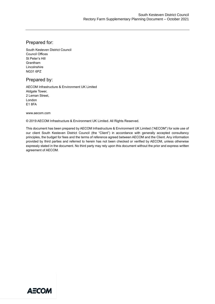#### Prepared for:

South Kesteven District Council Council Offices St Peter's Hill Grantham Lincolnshire NG31 6PZ

#### Prepared by:

AECOM Infrastructure & Environment UK Limited Aldgate Tower, 2 Leman Street, London E1 8FA

www.aecom.com

© 2019 AECOM Infrastructure & Environment UK Limited. All Rights Reserved.

This document has been prepared by AECOM Infrastructure & Environment UK Limited ("AECOM") for sole use of our client South Kesteven District Council (the "Client") in accordance with generally accepted consultancy principles, the budget for fees and the terms of reference agreed between AECOM and the Client. Any information provided by third parties and referred to herein has not been checked or verified by AECOM, unless otherwise expressly stated in the document. No third party may rely upon this document without the prior and express written agreement of AECOM.

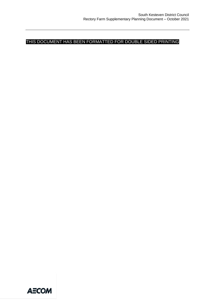THIS DOCUMENT HAS BEEN FORMATTED FOR DOUBLE SIDED PRINTING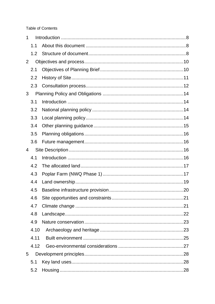Table of Contents

| 1 |      |  |
|---|------|--|
|   | 1.1  |  |
|   | 1.2  |  |
| 2 |      |  |
|   | 2.1  |  |
|   | 2.2  |  |
|   | 2.3  |  |
| 3 |      |  |
|   | 3.1  |  |
|   | 3.2  |  |
|   | 3.3  |  |
|   | 3.4  |  |
|   | 3.5  |  |
|   | 3.6  |  |
| 4 |      |  |
|   | 4.1  |  |
|   | 4.2  |  |
|   | 4.3  |  |
|   | 4.4  |  |
|   | 4.5  |  |
|   | 4.6  |  |
|   | 4.7  |  |
|   | 4.8  |  |
|   | 4.9  |  |
|   | 4.10 |  |
|   | 4.11 |  |
|   | 4.12 |  |
| 5 |      |  |
|   | 5.1  |  |
|   | 5.2  |  |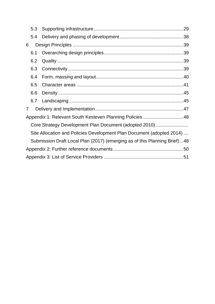|                                                                       | 5.3 |                                                                           | .29 |  |  |
|-----------------------------------------------------------------------|-----|---------------------------------------------------------------------------|-----|--|--|
|                                                                       | 5.4 |                                                                           |     |  |  |
| 6                                                                     |     |                                                                           |     |  |  |
|                                                                       | 6.1 |                                                                           |     |  |  |
|                                                                       | 6.2 |                                                                           |     |  |  |
|                                                                       | 6.3 |                                                                           |     |  |  |
|                                                                       | 6.4 |                                                                           |     |  |  |
|                                                                       | 6.5 |                                                                           |     |  |  |
|                                                                       | 6.6 |                                                                           |     |  |  |
|                                                                       | 6.7 |                                                                           |     |  |  |
| 7                                                                     |     |                                                                           |     |  |  |
| Appendix 1: Relevant South Kesteven Planning Policies 48              |     |                                                                           |     |  |  |
| Core Strategy Development Plan Document (adopted 2010)                |     |                                                                           |     |  |  |
| Site Allocation and Policies Development Plan Document (adopted 2014) |     |                                                                           |     |  |  |
|                                                                       |     | Submission Draft Local Plan (2017) (emerging as of this Planning Brief)48 |     |  |  |
|                                                                       |     |                                                                           |     |  |  |
|                                                                       |     |                                                                           |     |  |  |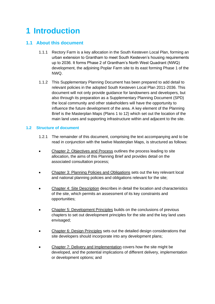## <span id="page-7-0"></span>**1 Introduction**

#### <span id="page-7-1"></span>**1.1 About this document**

- 1.1.1 Rectory Farm is a key allocation in the South Kesteven Local Plan, forming an urban extension to Grantham to meet South Kesteven's housing requirements up to 2036. It forms Phase 2 of Grantham's North West Quadrant (NWQ) development, the adjoining Poplar Farm site to its east forming Phase 1 of the NWQ.
- 1.1.2 This Supplementary Planning Document has been prepared to add detail to relevant policies in the adopted South Kesteven Local Plan 2011-2036. This document will not only provide guidance for landowners and developers, but also through its preparation as a Supplementary Planning Document (SPD) the local community and other stakeholders will have the opportunity to influence the future development of the area. A key element of the Planning Brief is the Masterplan Maps (Plans 1 to 12) which set out the location of the main land uses and supporting infrastructure within and adjacent to the site.

#### <span id="page-7-2"></span>**1.2 Structure of document**

- 1.2.1 The remainder of this document, comprising the text accompanying and to be read in conjunction with the twelve Masterplan Maps, is structured as follows:
- Chapter 2: Objectives and Process outlines the process leading to site allocation, the aims of this Planning Brief and provides detail on the associated consultation process;
- Chapter 3: Planning Policies and Obligations sets out the key relevant local and national planning policies and obligations relevant for the site;
- Chapter 4: Site Description describes in detail the location and characteristics of the site, which permits an assessment of its key constraints and opportunities;
- Chapter 5: Development Principles builds on the conclusions of previous chapters to set out development principles for the site and the key land uses envisaged;
- Chapter 6: Design Principles sets out the detailed design considerations that site developers should incorporate into any development plans;
- Chapter 7: Delivery and Implementation covers how the site might be developed, and the potential implications of different delivery, implementation or development options; and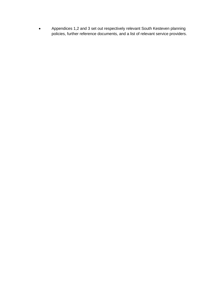• Appendices 1,2 and 3 set out respectively relevant South Kesteven planning policies, further reference documents, and a list of relevant service providers.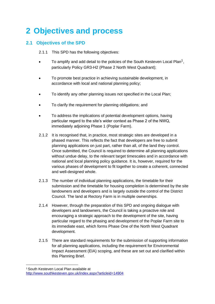### <span id="page-9-0"></span>**2 Objectives and process**

#### <span id="page-9-1"></span>**2.1 Objectives of the SPD**

2.1.1 This SPD has the following objectives:

- To amplify and add detail to the policies of the South Kesteven Local Plan<sup>1</sup>, particularly Policy GR3-H2 (Phase 2 North West Quadrant);
- To promote best practice in achieving sustainable development, in accordance with local and national planning policy;
- To identify any other planning issues not specified in the Local Plan;
- To clarify the requirement for planning obligations; and
- To address the implications of potential development options, having particular regard to the site's wider context as Phase 2 of the NWQ, immediately adjoining Phase 1 (Poplar Farm).
- 2.1.2 It is recognised that, in practice, most strategic sites are developed in a phased manner. This reflects the fact that developers are free to submit planning applications on just part, rather than all, of the land they control. Once submitted, the Council is required to determine all planning applications without undue delay, to the relevant target timescales and in accordance with national and local planning policy guidance. It is, however, required for the various phases of development to fit together to create a coherent, connected and well-designed whole.
- 2.1.3 The number of individual planning applications, the timetable for their submission and the timetable for housing completion is determined by the site landowners and developers and is largely outside the control of the District Council. The land at Rectory Farm is in multiple ownerships.
- 2.1.4 However, through the preparation of this SPD and ongoing dialogue with developers and landowners, the Council is taking a proactive role and encouraging a strategic approach to the development of the site, having particular regard to the phasing and development of the Poplar Farm site to its immediate east, which forms Phase One of the North West Quadrant development.
- 2.1.5 There are standard requirements for the submission of supporting information for all planning applications, including the requirement for Environmental Impact Assessment (EIA) scoping, and these are set out and clarified within this Planning Brief.

<sup>1</sup>South Kesteven Local Plan available at <http://www.southkesteven.gov.uk/index.aspx?articleid=14904>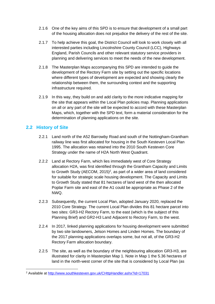- 2.1.6 One of the key aims of this SPD is to ensure that development of a small part of the housing allocation does not prejudice the delivery of the rest of the site.
- 2.1.7 To help achieve this goal, the District Council will look to work closely with all interested parties including Lincolnshire County Council (LCC), Highways England, Parish Councils and other relevant statutory service providers in planning and delivering services to meet the needs of the new development.
- 2.1.8 The Masterplan Maps accompanying this SPD are intended to guide the development of the Rectory Farm site by setting out the specific locations where different types of development are expected and showing clearly the relationship between them, the surrounding context and the supporting infrastructure required.
- 2.1.9 In this way, they build on and add clarity to the more indicative mapping for the site that appears within the Local Plan policies map. Planning applications on all or any part of the site will be expected to accord with these Masterplan Maps, which, together with the SPD text, form a material consideration for the determination of planning applications on the site.

#### <span id="page-10-0"></span>**2.2 History of Site**

- 2.2.1 Land north of the A52 Barrowby Road and south of the Nottingham-Grantham railway line was first allocated for housing in the South Kesteven Local Plan 1995. The allocation was retained into the 2010 South Kesteven Core Strategy under the name of H2A North West Quadrant.
- 2.2.2 Land at Rectory Farm, which lies immediately west of Core Strategy allocation H2A, was first identified through the Grantham Capacity and Limits to Growth Study (AECOM, 2015)<sup>2</sup>, as part of a wider area of land considered for suitable for strategic scale housing development. The Capacity and Limits to Growth Study stated that 81 hectares of land west of the then allocated Poplar Farm site and east of the A1 could be appropriate as Phase 2 of the NWQ.
- 2.2.3 Subsequently, the current Local Plan, adopted January 2020, replaced the 2010 Core Strategy. The current Local Plan divides this 81 hectare parcel into two sites: GR3-H2 Rectory Farm, to the east (which is the subject of this Planning Brief) and GR2-H3 Land Adjacent to Rectory Farm, to the west.
- 2.2.4 In 2017, linked planning applications for housing development were submitted by two site landowners, Jelson Homes and Linden Homes. The boundary of the 2017 planning applications overlaps some, but not all, of the GR3-H2 Rectory Farm allocation boundary.
- 2.2.5 The site, as well as the boundary of the neighbouring allocation GR3-H3, are illustrated for clarity in Masterplan Map 1. Note in Map 1 the 5.36 hectares of land in the north-west corner of the site that is considered by Local Plan (as

<sup>2</sup> Available at<http://www.southkesteven.gov.uk/CHttpHandler.ashx?id=17031>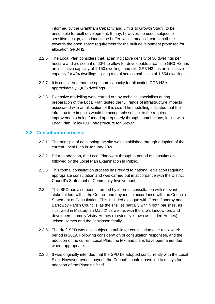informed by the Grantham Capacity and Limits to Growth Study) to be unsuitable for built development. It may, however, be used, subject to sensitive design, as a landscape buffer, which means it can contribute towards the open space requirement for the built development proposed for allocation GR3-H2.

- 2.2.6 The Local Plan considers that, at an indicative density of 30 dwellings per hectare and a discount of 60% to allow for developable area, site GR3-H2 has an indicative capacity of 1,150 dwellings and site GR3-H3 has an indicative capacity for 404 dwellings, giving a total across both sites of 1,554 dwellings.
- 2.2.7 It is considered that the optimum capacity for allocation GR3-H2 is approximately **1,035** dwellings.
- 2.2.8 Extensive modelling work carried out by technical specialists during preparation of the Local Plan tested the full range of infrastructure impacts associated with an allocation of this size. The modelling indicated that the infrastructure impacts would be acceptable subject to the required improvements being funded appropriately through contributions, in line with Local Plan Policy ID1: Infrastructure for Growth.

#### <span id="page-11-0"></span>**2.3 Consultation process**

- 2.3.1 The principle of developing the site was established through adoption of the current Local Plan in January 2020.
- 2.3.2 Prior to adoption, the Local Plan went through a period of consultation followed by the Local Plan Examination in Public.
- 2.3.3 This formal consultation process has regard to national legislation requiring appropriate consultation and was carried out in accordance with the District Council's Statement of Community Involvement.
- 2.3.4 This SPD has also been informed by informal consultation with relevant stakeholders within the Council and beyond, in accordance with the Council's Statement of Consultation. This included dialogue with Great Gonerby and Barrowby Parish Councils, as the site lies partially within both parishes, as illustrated in Masterplan Map 2) as well as with the site's landowners and developers, namely Vistry Homes (previously known as Linden Homes), Jelson Homes and the Jenkinson family.
- 2.3.5 The draft SPD was also subject to public for consultation over a six-week period in 2019. Following consideration of consultation responses, and the adoption of the current Local Plan, the text and plans have been amended where appropriate.
- 2.3.6 It was originally intended that the SPD be adopted concurrently with the Local Plan. However, events beyond the Council's control have led to delays for adoption of the Planning Brief.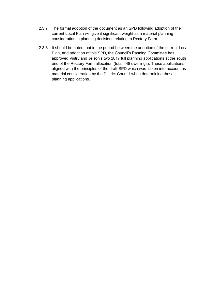- 2.3.7 The formal adoption of the document as an SPD following adoption of the current Local Plan will give it significant weight as a material planning consideration in planning decisions relating to Rectory Farm.
- 2.3.8 It should be noted that in the period between the adoption of the current Local Plan, and adoption of this SPD, the Council's Panning Committee has approved Vistry and Jelson's two 2017 full planning applications at the south end of the Rectory Farm allocation (total 448 dwellings). These applications aligned with the principles of the draft SPD which was taken into account as material consideration by the District Council when determining these planning applications.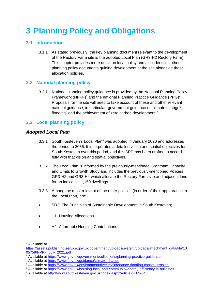## <span id="page-13-0"></span>**3 Planning Policy and Obligations**

#### <span id="page-13-1"></span>**3.1 Introduction**

3.1.1 As stated previously, the key planning document relevant to the development of the Rectory Farm site is the adopted Local Plan (GR3-H2 Rectory Farm). This chapter provides more detail on local policy and also identifies other planning policy documents guiding development at the site alongside these allocation policies.

#### <span id="page-13-2"></span>**3.2 National planning policy**

3.2.1 National planning policy guidance is provided by the National Planning Policy Framework (NPPF) $3$  and the national Planning Practice Guidance (PPG) $4$ . Proposals for the site will need to take account of these and other relevant national guidance, in particular, government guidance on climate change<sup>5</sup>, flooding<sup>6</sup> and the achievement of zero carbon development.<sup>7</sup>

#### <span id="page-13-3"></span>**3.3 Local planning policy**

#### *Adopted Local Plan*

- 3.3.1 South Kesteven's Local Plan<sup>8</sup> was adopted in January 2020 and addresses the period to 2036. It incorporates a detailed vision and spatial objectives for South Kesteven over this period, and this SPD has been drafted to accord fully with that vision and spatial objectives.
- 3.3.2 The Local Plan is informed by the previously-mentioned Grantham Capacity and Limits to Growth Study and includes the previously-mentioned Policies GR3-H2 and GR3-H4 which allocate the Rectory Farm site and adjacent land for an indicative 1,150 dwellings.
- 3.3.3 Among the most relevant of the other policies (in order of their appearance in the Local Plan) are:
- SD2: The Principles of Sustainable Development in South Kesteven;
- H1: Housing Allocations
- H2: Affordable Housing Contributions

<sup>3</sup> Available at

[https://assets.publishing.service.gov.uk/government/uploads/system/uploads/attachment\\_data/file/10](https://assets.publishing.service.gov.uk/government/uploads/system/uploads/attachment_data/file/1005759/NPPF_July_2021.pdf) [05759/NPPF\\_July\\_2021.pdf](https://assets.publishing.service.gov.uk/government/uploads/system/uploads/attachment_data/file/1005759/NPPF_July_2021.pdf)

<sup>4</sup> Available at<https://www.gov.uk/government/collections/planning-practice-guidance>

<sup>5</sup> Available at<https://www.gov.uk/guidance/climate-change>

<sup>6</sup> Available at<https://www.gov.uk/environment/river-maintenance-flooding-coastal-erosion>

<sup>7</sup> Available at<https://www.gov.uk/housing-local-and-community/energy-efficiency-in-buildings>

<sup>8</sup> Available at<http://www.southkesteven.gov.uk/index.aspx?articleid=14904>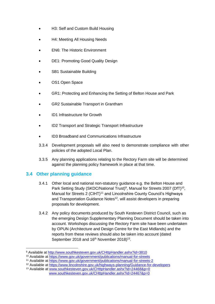- H3: Self and Custom Build Housing
- H4: Meeting All Housing Needs
- EN6: The Historic Environment
- DE1: Promoting Good Quality Design
- SB1 Sustainable Building
- OS1 Open Space
- GR1: Protecting and Enhancing the Setting of Belton House and Park
- GR2 Sustainable Transport in Grantham
- ID1 Infrastructure for Growth
- ID2 Transport and Strategic Transport Infrastructure
- ID3 Broadband and Communications Infrastructure
- 3.3.4 Development proposals will also need to demonstrate compliance with other policies of the adopted Local Plan.
- 3.3.5 Any planning applications relating to the Rectory Farm site will be determined against the planning policy framework in place at that time.

#### <span id="page-14-0"></span>**3.4 Other planning guidance**

- 3.4.1 Other local and national non-statutory guidance e.g. the Belton House and Park Setting Study (SKDC/National Trust)<sup>9</sup>, Manual for Streets 2007 (DfT)<sup>10</sup>, Manual for Streets 2 (CIHT)<sup>11</sup> and Lincolnshire County Council's Highways and Transportation Guidance Notes<sup>12</sup>, will assist developers in preparing proposals for development.
- 3.4.2 Any policy documents produced by South Kesteven District Council, such as the emerging Design Supplementary Planning Document should be taken into account. Workshops discussing the Rectory Farm site have been undertaken by OPUN (Architecture and Design Centre for the East Midlands) and the reports from these reviews should also be taken into account (dated September 2018 and  $16<sup>th</sup>$  November 2018)<sup>13</sup>.

<sup>9</sup> Available at<http://www.southkesteven.gov.uk/CHttpHandler.ashx?id=3810>

<sup>10</sup> Available at<https://www.gov.uk/government/publications/manual-for-streets>

<sup>11</sup> Available at<https://www.gov.uk/government/publications/manual-for-streets-2>

<sup>12</sup> Available at<https://www.lincolnshire.gov.uk/highways-planning/Guidance-for-developers>

<sup>13</sup> Available at [www.southkesteven.gov.uk/CHttpHandler.ashx?id=24468&p=0](http://www.southkesteven.gov.uk/CHttpHandler.ashx?id=24468&p=0) [www.southkesteven.gov.uk/CHttpHandler.ashx?id=24467&p=0](http://www.southkesteven.gov.uk/CHttpHandler.ashx?id=24467&p=0)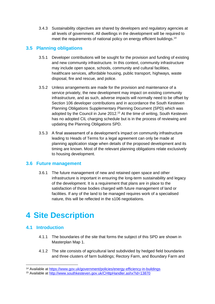3.4.3 Sustainability objectives are shared by developers and regulatory agencies at all levels of government. All dwellings in the development will be required to meet the requirements of national policy on energy efficient buildings.<sup>14</sup>

#### <span id="page-15-0"></span>**3.5 Planning obligations**

- 3.5.1 Developer contributions will be sought for the provision and funding of existing and new community infrastructure. In this context, community infrastructure may include open space, schools, community and cultural facilities, healthcare services, affordable housing, public transport, highways, waste disposal, fire and rescue, and police.
- 3.5.2 Unless arrangements are made for the provision and maintenance of a service privately, the new development may impact on existing community infrastructure, and as such, adverse impacts will normally need to be offset by Section 106 developer contributions and in accordance the South Kesteven Planning Obligations Supplementary Planning Document (SPD) which was adopted by the Council in June 2012.<sup>15</sup> At the time of writing, South Kesteven has no adopted CIL charging schedule but is in the process of reviewing and updating the Planning Obligations SPD.
- 3.5.3 A final assessment of a development's impact on community infrastructure leading to Heads of Terms for a legal agreement can only be made at planning application stage when details of the proposed development and its timing are known. Most of the relevant planning obligations relate exclusively to housing development.

#### <span id="page-15-1"></span>**3.6 Future management**

3.6.1 The future management of new and retained open space and other infrastructure is important in ensuring the long-term sustainability and legacy of the development. It is a requirement that plans are in place to the satisfaction of those bodies charged with future management of land or facilities. If any of the land to be managed requires work of a specialised nature, this will be reflected in the s106 negotiations.

### <span id="page-15-2"></span>**4 Site Description**

#### <span id="page-15-3"></span>**4.1 Introduction**

- 4.1.1 The boundaries of the site that forms the subject of this SPD are shown in Masterplan Map 1.
- 4.1.2 The site consists of agricultural land subdivided by hedged field boundaries and three clusters of farm buildings; Rectory Farm, and Boundary Farm and

<sup>14</sup> Available at<https://www.gov.uk/government/policies/energy-efficiency-in-buildings>

<sup>15</sup> Available at<http://www.southkesteven.gov.uk/CHttpHandler.ashx?id=13870>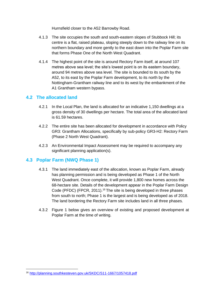Hurnsfield closer to the A52 Barrowby Road.

- 4.1.3 The site occupies the south and south-eastern slopes of Stubbock Hill; its centre is a flat, raised plateau, sloping steeply down to the railway line on its northern boundary and more gently to the east down into the Poplar Farm site that forms Phase One of the North West Quadrant.
- 4.1.4 The highest point of the site is around Rectory Farm itself, at around 107 metres above sea level; the site's lowest point is on its eastern boundary, around 94 metres above sea level. The site is bounded to its south by the A52, to its east by the Poplar Farm development, to its north by the Nottingham-Grantham railway line and to its west by the embankment of the A1 Grantham western bypass.

#### <span id="page-16-0"></span>**4.2 The allocated land**

- 4.2.1 In the Local Plan, the land is allocated for an indicative 1,150 dwellings at a gross density of 30 dwellings per hectare. The total area of the allocated land is 61.59 hectares.
- 4.2.2 The entire site has been allocated for development in accordance with Policy GR3: Grantham Allocations, specifically by sub-policy GR3-H2: Rectory Farm (Phase 2 North West Quadrant).
- 4.2.3 An Environmental Impact Assessment may be required to accompany any significant planning application(s).

#### <span id="page-16-1"></span>**4.3 Poplar Farm (NWQ Phase 1)**

- 4.3.1 The land immediately east of the allocation, known as Poplar Farm, already has planning permission and is being developed as Phase 1 of the North West Quadrant. Once complete, it will provide 1,800 new homes across the 68-hectare site. Details of the development appear in the Poplar Farm Design Code (PFDC) (FPCR, 2011).<sup>16</sup> The site is being developed in three phases from south to north; Phase 1 is the largest and is being developed as of 2018. The land bordering the Rectory Farm site includes land in all three phases.
- 4.3.2 Figure 1 below gives an overview of existing and proposed development at Poplar Farm at the time of writing.

<sup>16</sup> <http://planning.southkesteven.gov.uk/SKDC/S11-1667/1057418.pdf>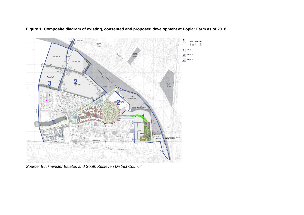

**Figure 1: Composite diagram of existing, consented and proposed development at Poplar Farm as of 2018**

*Source: Buckminster Estates and South Kesteven District Council*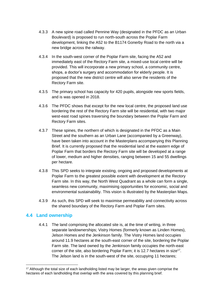- 4.3.3 A new spine road called Pennine Way (designated in the PFDC as an Urban Boulevard) is proposed to run north-south across the Poplar Farm development, linking the A52 to the B1174 Gonerby Road to the north via a new bridge across the railway.
- 4.3.4 In the south-west corner of the Poplar Farm site, facing the A52 and immediately east of the Rectory Farm site, a mixed-use local centre will be provided. This will incorporate a new primary school, a community centre, shops, a doctor's surgery and accommodation for elderly people. It is proposed that the new district centre will also serve the residents of the Rectory Farm site.
- 4.3.5 The primary school has capacity for 420 pupils, alongside new sports fields, and is was opened in 2018.
- 4.3.6 The PFDC shows that except for the new local centre, the proposed land use bordering the rest of the Rectory Farm site will be residential, with two major west-east road spines traversing the boundary between the Poplar Farm and Rectory Farm sites.
- 4.3.7 These spines, the northern of which is designated in the PFDC as a Main Street and the southern as an Urban Lane (accompanied by a Greenway), have been taken into account in the Masterplans accompanying this Planning Brief. It is currently proposed that the residential land at the eastern edge of Poplar Farm that borders the Rectory Farm site will be developed at a range of lower, medium and higher densities, ranging between 15 and 55 dwellings per hectare.
- 4.3.8 This SPD seeks to integrate existing, ongoing and proposed developments at Poplar Farm to the greatest possible extent with development at the Rectory Farm site. In this way, the North West Quadrant as a whole can form a single, seamless new community, maximising opportunities for economic, social and environmental sustainability. This vision is illustrated by the Masterplan Maps.
- 4.3.9 As such, this SPD will seek to maximise permeability and connectivity across the shared boundary of the Rectory Farm and Poplar Farm sites.

#### <span id="page-18-0"></span>**4.4 Land ownership**

4.4.1 The land comprising the allocated site is, at the time of writing, in three separate landownerships; Vistry Homes (formerly known as Linden Homes), Jelson Homes and the Jenkinson family. The Vistry Homes land occupies around 11.9 hectares at the south-east corner of the site, bordering the Poplar Farm site. The land owned by the Jenkinson family occupies the north-east corner of the site, also bordering Poplar Farm; it is 12.7 hectares in size<sup>17</sup>. The Jelson land is in the south-west of the site, occupying 11 hectares;

<sup>&</sup>lt;sup>17</sup> Although the total size of each landholding listed may be larger, the areas given comprise the hectares of each landholding that overlap with the area covered by this planning brief.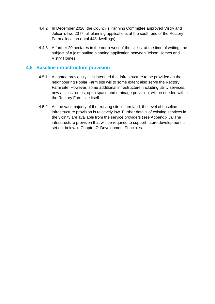- 4.4.2 In December 2020, the Council's Panning Committee approved Vistry and Jelson's two 2017 full planning applications at the south end of the Rectory Farm allocation (total 448 dwellings).
- 4.4.3 A further 20 hectares in the north-west of the site is, at the time of writing, the subject of a joint outline planning application between Jelson Homes and Vistry Homes.

#### <span id="page-19-0"></span>**4.5 Baseline infrastructure provision**

- 4.5.1 As noted previously, it is intended that infrastructure to be provided on the neighbouring Poplar Farm site will to some extent also serve the Rectory Farm site. However, some additional infrastructure, including utility services, new access routes, open space and drainage provision, will be needed within the Rectory Farm site itself.
- 4.5.2 As the vast majority of the existing site is farmland, the level of baseline infrastructure provision is relatively low. Further details of existing services in the vicinity are available from the service providers (see Appendix 3). The infrastructure provision that will be required to support future development is set out below in Chapter 7: Development Principles.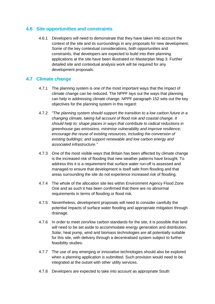#### <span id="page-20-0"></span>**4.6 Site opportunities and constraints**

4.6.1 Developers will need to demonstrate that they have taken into account the context of the site and its surroundings in any proposals for new development. Some of the key contextual considerations, both opportunities and constraints, that developers are expected to build into their planning applications at the site have been illustrated on Masterplan Map 3. Further detailed site and contextual analysis work will be required for any development proposals.

#### <span id="page-20-1"></span>**4.7 Climate change**

- 4.7.1 The planning system is one of the most important ways that the impact of climate change can be reduced. The NPPF lays out the ways that planning can help in addressing climate change. NPPF paragraph 152 sets out the key objectives for the planning system in this regard:
- 4.7.2 *"The planning system should support the transition to a low carbon future in a changing climate, taking full account of flood risk and coastal change. It should help to: shape places in ways that contribute to radical reductions in greenhouse gas emissions, minimise vulnerability and improve resilience; encourage the reuse of existing resources, including the conversion of existing buildings; and support renewable and low carbon energy and associated infrastructure."*
- 4.7.3 One of the most visible ways that Britain has been affected by climate change is the increased risk of flooding that new weather patterns have brought. To address this it is a requirement that surface water run-off is assessed and managed to ensure that development is itself safe from flooding and that areas surrounding the site do not experience increased risk of flooding.
- 4.7.4 The whole of the allocation site lies within Environment Agency Flood Zone One and as such it has been confirmed that there are no abnormal requirements in terms of flooding or flood risk.
- 4.7.5 Nevertheless, development proposals will need to consider carefully the potential impacts of surface water flooding and appropriate mitigation through drainage.
- 4.7.6 In order to meet zero/low carbon standards for the site, it is possible that land will need to be set aside to accommodate energy generation and distribution. Solar, heat pump, wind and biomass technologies are all potentially suitable for this site, with delivery through a decentralised system subject to further feasibility studies.
- 4.7.7 The use of any emerging or innovative technologies should also be explored when a planning application is submitted. Such provision would need to be integrated at the outset with other utility services.
- 4.7.8 Developers are expected to take into account as appropriate South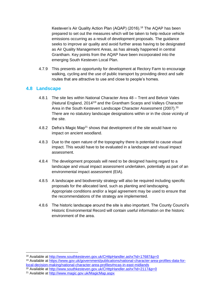Kesteven's Air Quality Action Plan (AQAP) (2016).<sup>18</sup> The AQAP has been prepared to set out the measures which will be taken to help reduce vehicle emissions occurring as a result of development proposals. The guidance seeks to improve air quality and avoid further areas having to be designated as Air Quality Management Areas, as has already happened in central Grantham. Key points from the AQAP have been incorporated into the emerging South Kesteven Local Plan.

4.7.9 This presents an opportunity for development at Rectory Farm to encourage walking, cycling and the use of public transport by providing direct and safe routes that are attractive to use and close to people's homes.

#### <span id="page-21-0"></span>**4.8 Landscape**

- 4.8.1 The site lies within National Character Area 48 Trent and Belvoir Vales (Natural England, 2014)19 and the Grantham Scarps and Valleys Character Area in the South Kesteven Landscape Character Assessment (2007).<sup>20</sup> There are no statutory landscape designations within or in the close vicinity of the site.
- 4.8.2 Defra's Magic Map<sup>21</sup> shows that development of the site would have no impact on ancient woodland.
- 4.8.3 Due to the open nature of the topography there is potential to cause visual impact. This would have to be evaluated in a landscape and visual impact assessment.
- 4.8.4 The development proposals will need to be designed having regard to a landscape and visual impact assessment undertaken, potentially as part of an environmental impact assessment (EIA).
- 4.8.5 A landscape and biodiversity strategy will also be required including specific proposals for the allocated land, such as planting and landscaping. Appropriate conditions and/or a legal agreement may be used to ensure that the recommendations of the strategy are implemented.
- 4.8.6 The historic landscape around the site is also important. The County Council's Historic Environmental Record will contain useful information on the historic environment of the area.

<sup>18</sup> Available at<http://www.southkesteven.gov.uk/CHttpHandler.ashx?id=17687&p=0>

<sup>19</sup> Available at [https://www.gov.uk/government/publications/national-character-area-profiles-data-for](https://www.gov.uk/government/publications/national-character-area-profiles-data-for-local-decision-making/national-character-area-profiles#ncas-in-east-midlands)[local-decision-making/national-character-area-profiles#ncas-in-east-midlands](https://www.gov.uk/government/publications/national-character-area-profiles-data-for-local-decision-making/national-character-area-profiles#ncas-in-east-midlands)

<sup>&</sup>lt;sup>20</sup> Available at<http://www.southkesteven.gov.uk/CHttpHandler.ashx?id=2117&p=0>

<sup>21</sup> Available at<http://www.magic.gov.uk/MagicMap.aspx>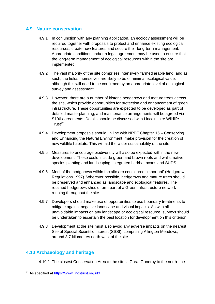#### <span id="page-22-0"></span>**4.9 Nature conservation**

- 4.9.1 In conjunction with any planning application, an ecology assessment will be required together with proposals to protect and enhance existing ecological resources, create new features and secure their long-term management. Appropriate conditions and/or a legal agreement may be used to ensure that the long-term management of ecological resources within the site are implemented.
- 4.9.2 The vast majority of the site comprises intensively farmed arable land, and as such, the fields themselves are likely to be of minimal ecological value, although this will need to be confirmed by an appropriate level of ecological survey and assessment.
- 4.9.3 However, there are a number of historic hedgerows and mature trees across the site, which provide opportunities for protection and enhancement of green infrastructure. These opportunities are expected to be developed as part of detailed masterplanning, and maintenance arrangements will be agreed via S106 agreements. Details should be discussed with Lincolnshire Wildlife  $T$ rust<sup>22</sup>
- 4.9.4 Development proposals should, in line with NPPF Chapter 15 Conserving and Enhancing the Natural Environment, make provision for the creation of new wildlife habitats. This will aid the wider sustainability of the site.
- 4.9.5 Measures to encourage biodiversity will also be expected within the new development. These could include green and brown roofs and walls, nativespecies planting and landscaping, integrated bird/bat boxes and SUDS.
- 4.9.6 Most of the hedgerows within the site are considered 'important' (Hedgerow Regulations 1997). Wherever possible, hedgerows and mature trees should be preserved and enhanced as landscape and ecological features. The retained hedgerows should form part of a Green Infrastructure network running throughout the site.
- 4.9.7 Developers should make use of opportunities to use boundary treatments to mitigate against negative landscape and visual impacts. As with all unavoidable impacts on any landscape or ecological resource, surveys should be undertaken to ascertain the best location for development on this criterion.
- 4.9.8 Development at the site must also avoid any adverse impacts on the nearest Site of Special Scientific Interest (SSSI), comprising Allington Meadows, around 3.7 kilometres north-west of the site.

#### <span id="page-22-1"></span>**4.10 Archaeology and heritage**

4.10.1 The closest Conservation Area to the site is Great Gonerby to the north- the

<sup>22</sup> As specified at<https://www.lincstrust.org.uk/>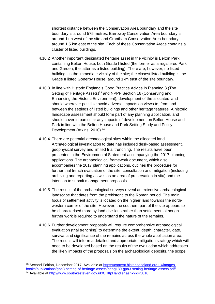shortest distance between the Conservation Area boundary and the site boundary is around 575 metres. Barrowby Conservation Area boundary is around 1km west of the site and Grantham Conservation Area boundary around 1.5 km east of the site. Each of these Conservation Areas contains a cluster of listed buildings.

- 4.10.2 Another important designated heritage asset in the vicinity is Belton Park, containing Belton House, both Grade I listed (the former as a registered Park and Garden, the latter as a listed building). There are, however, no listed buildings in the immediate vicinity of the site; the closest listed building is the Grade II listed Gonerby House, around 1km east of the site boundary.
- 4.10.3 In line with Historic England's Good Practice Advice in Planning 3 (The Setting of Heritage Assets)<sup>23</sup> and NPPF Section 16 (Conserving and Enhancing the Historic Environment), development of the allocated land should wherever possible avoid adverse impacts on views to, from and between the settings of listed buildings and other heritage features. A historic landscape assessment should form part of any planning application, and should cover in particular any impacts of development on Belton House and Park in line with the Belton House and Park Setting Study and Policy Development (Atkins, 2010).<sup>24</sup>
- 4.10.4 There are potential archaeological sites within the allocated land. Archaeological investigation to date has included desk-based assessment, geophysical survey and limited trial trenching. The results have been presented in the Environmental Statement accompanying the 2017 planning applications. The archaeological framework document, which also accompanies the 2017 planning applications, outlines the procedure for further trial trench evaluation of the site, consultation and mitigation (including archiving and reporting as well as an area of preservation in situ) and the intention to submit management proposals.
- 4.10.5 The results of the archaeological surveys reveal an extensive archaeological landscape that dates from the prehistoric to the Roman period. The main focus of settlement activity is located on the higher land towards the northwestern corner of the site. However, the southern part of the site appears to be characterised more by land divisions rather than settlement, although further work is required to understand the nature of the remains.
- 4.10.6 Further development proposals will require comprehensive archaeological evaluation (trial trenching) to determine the extent, depth, character, date, survival and significance of the remains across the whole application area. The results will inform a detailed and appropriate mitigation strategy which will need to be developed based on the results of the evaluation which addresses the likely impacts of the proposals on the archaeological deposits, the scope

<sup>&</sup>lt;sup>23</sup> Second Edition, December 2017. Available at [https://content.historicengland.org.uk/images](https://content.historicengland.org.uk/images-books/publications/gpa3-setting-of-heritage-assets/heag180-gpa3-setting-heritage-assets.pdf/)[books/publications/gpa3-setting-of-heritage-assets/heag180-gpa3-setting-heritage-assets.pdf/](https://content.historicengland.org.uk/images-books/publications/gpa3-setting-of-heritage-assets/heag180-gpa3-setting-heritage-assets.pdf/) <sup>24</sup> Available at<http://www.southkesteven.gov.uk/CHttpHandler.ashx?id=3810>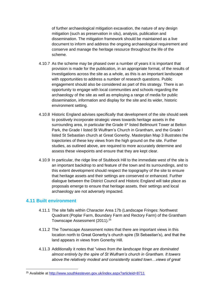of further archaeological mitigation excavation, the nature of any design mitigation (such as preservation in situ), analysis, publication and dissemination. The mitigation framework should be maintained as a live document to inform and address the ongoing archaeological requirement and conserve and manage the heritage resource throughout the life of the scheme.

- 4.10.7 As the scheme may be phased over a number of years it is important that provision is made for the publication, in an appropriate format, of the results of investigations across the site as a whole, as this is an important landscape with opportunities to address a number of research questions. Public engagement should also be considered as part of this strategy. There is an opportunity to engage with local communities and schools regarding the archaeology of the site as well as employing a range of media for public dissemination, information and display for the site and its wider, historic environment setting.
- 4.10.8 Historic England advises specifically that development of the site should seek to positively incorporate strategic views towards heritage assets in the surrounding area, in particular the Grade II\* listed Bellmount Tower at Belton Park, the Grade I listed St Wulfram's Church in Grantham, and the Grade I listed St Sebastian church at Great Gonerby. Masterplan Map 3 illustrates the trajectories of these key views from the high ground on the site. Further studies, as outlined above, are required to more accurately determine and assess these viewpoints and ensure that they are kept clear.
- 4.10.9 In particular, the ridge line of Stubbock Hill to the immediate west of the site is an important backdrop to and feature of the town and its surroundings, and to this extent development should respect the topography of the site to ensure that heritage assets and their settings are conserved or enhanced. Further dialogue between the District Council and Historic England will take place as proposals emerge to ensure that heritage assets, their settings and local archaeology are not adversely impacted.

#### <span id="page-24-0"></span>**4.11 Built environment**

- 4.11.1 The site falls within Character Area 17b (Landscape Fringes: Northwest Quadrant (Poplar Farm, Boundary Farm and Rectory Farm) of the Grantham Townscape Assessment (2011).<sup>25</sup>
- 4.11.2 The Townscape Assessment notes that there are important views in this location north to Great Gonerby's church spire (St Sebastian's), and that the land appears in views from Gonerby Hill.
- 4.11.3 Additionally it notes that "*views from the landscape fringe are dominated almost entirely by the spire of St Wulfram's church in Grantham. It towers above the relatively modest and consistently scaled town…views of great*

<sup>25</sup> Available at<http://www.southkesteven.gov.uk/index.aspx?articleid=8711>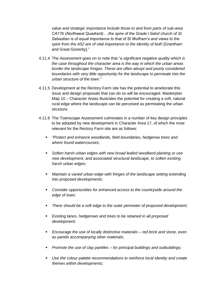*value and strategic importance include those to and from parts of sub-area CA17b (Northwest Quadrant)….the spire of the Grade I listed church of St Sebastian is of equal importance to that of St Wulfram's and views to the spire from the A52 are of vital importance to the identity of both* [Grantham and Great Gonerby]."

- 4.11.4 The Assessment goes on to note that "*a significant negative quality which is the case throughout the character area is the way in which the urban areas border the landscape fringes. These are often abrupt and poorly considered boundaries with very little opportunity for the landscape to permeate into the urban structure of the town*."
- 4.11.5 Development at the Rectory Farm site has the potential to ameliorate this issue and design proposals that can do so will be encouraged. Masterplan Map 10 – Character Areas illustrates the potential for creating a soft, natural rural edge where the landscape can be perceived as permeating the urban structure.
- 4.11.6 The Townscape Assessment culminates in a number of key design principles to be adopted by new development in Character Area 17, of which the most relevant for the Rectory Farm site are as follows:
	- *"Protect and enhance woodlands, field boundaries, hedgerow trees and where found watercourses;*
	- Soften harsh urban edges with new broad leafed woodland planting or use *new development, and associated structural landscape, to soften existing harsh urban edges;*
	- *Maintain a varied urban edge with fringes of the landscape setting extending into proposed developments;*
	- *Consider opportunities for enhanced access to the countryside around the edge of town;*
	- *There should be a soft edge to the outer perimeter of proposed development;*
	- *Existing lanes, hedgerows and trees to be retained in all proposed development;*
	- *Encourage the use of locally distinctive materials – red brick and stone, even as panels accompanying other materials;*
	- *Promote the use of clay pantiles – for principal buildings and outbuildings;*
	- Use the colour palette recommendations to reinforce local identity and create *themes within developments;*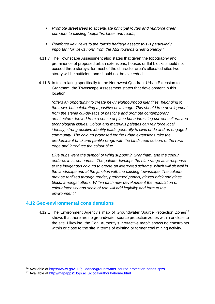- *Promote street trees to accentuate principal routes and reinforce green corridors to existing footpaths, lanes and roads;*
- *Reinforce key views to the town's heritage assets; this is particularly important for views north from the A52 towards Great Gonerby."*
- 4.11.7 The Townscape Assessment also states that given the topography and prominence of proposed urban extensions, houses or flat blocks should not exceed three storeys; for most of the character area's allocated sites two storey will be sufficient and should not be exceeded.
- 4.11.8 In text relating specifically to the Northwest Quadrant Urban Extension to Grantham, the Townscape Assessment states that development in this location:

*"offers an opportunity to create new neighbourhood identities, belonging to the town, but celebrating a positive new image. This should free development from the sterile cul-de-sacs of pastiche and promote contemporary architecture derived from a sense of place but addressing current cultural and technological issues. Colour and materials palettes can reinforce local identity; strong positive identity leads generally to civic pride and an engaged community. The colours proposed for the urban extensions take the predominant brick and pantile range with the landscape colours of the rural edge and introduce the colour blue.* 

*Blue pubs were the symbol of Whig support in Grantham, and the colour endures in street names. The palette develops the blue range as a response to the indigenous colours to create an integrated scheme, which will sit well in the landscape and at the junction with the existing townscape. The colours may be realised through render, preformed panels, glazed brick and glass block, amongst others. Within each new development the modulation of colour intensity and scale of use will add legibility and form to the environment."*

#### <span id="page-26-0"></span>**4.12 Geo-environmental considerations**

4.12.1 The Environment Agency's map of Groundwater Source Protection Zones<sup>26</sup> shows that there are no groundwater source protection zones within or close to the site. Likewise, the Coal Authority's interactive map<sup>27</sup> shows no constraints within or close to the site in terms of existing or former coal mining activity.

<sup>26</sup> Available at<https://www.gov.uk/guidance/groundwater-source-protection-zones-spzs>

<sup>27</sup> Available at<http://mapapps2.bgs.ac.uk/coalauthority/home.html>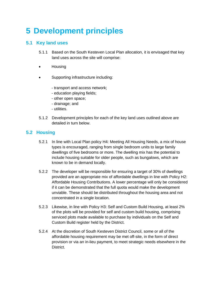## <span id="page-27-0"></span>**5 Development principles**

#### <span id="page-27-1"></span>**5.1 Key land uses**

- 5.1.1 Based on the South Kesteven Local Plan allocation, it is envisaged that key land uses across the site will comprise:
- Housing
- Supporting infrastructure including:
	- transport and access network;
	- education playing fields;
	- other open space;
	- drainage; and
	- utilities.
- 5.1.2 Development principles for each of the key land uses outlined above are detailed in turn below.

#### <span id="page-27-2"></span>**5.2 Housing**

- 5.2.1 In line with Local Plan policy H4: Meeting All Housing Needs, a mix of house types is encouraged, ranging from single bedroom units to large family dwellings of five bedrooms or more. The dwelling mix has the potential to include housing suitable for older people, such as bungalows, which are known to be in demand locally.
- 5.2.2 The developer will be responsible for ensuring a target of 30% of dwellings provided are an appropriate mix of affordable dwellings in line with Policy H2: Affordable Housing Contributions. A lower percentage will only be considered if it can be demonstrated that the full quota would make the development unviable. These should be distributed throughout the housing area and not concentrated in a single location.
- 5.2.3 Likewise, in line with Policy H3: Self and Custom Build Housing, at least 2% of the plots will be provided for self and custom build housing, comprising serviced plots made available to purchase by individuals on the Self and Custom Build register held by the District.
- 5.2.4 At the discretion of South Kesteven District Council, some or all of the affordable housing requirement may be met off-site, in the form of direct provision or via an in-lieu payment, to meet strategic needs elsewhere in the District.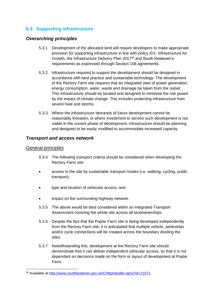### <span id="page-28-0"></span>**5.3 Supporting infrastructure**

#### *Overarching principles*

- 5.3.1 Development of the allocated land will require developers to make appropriate provision for supporting infrastructure in line with policy ID1: Infrastructure for Growth, the Infrastructure Delivery Plan 2017<sup>28</sup> and South Kesteven's requirements as expressed through Section 106 agreements.
- 5.3.2 Infrastructure required to support the development should be designed in accordance with best practice and sustainable technology. The development of the Rectory Farm site requires that an integrated view of power generation, energy consumption, water, waste and drainage be taken from the outset. This infrastructure should be located and designed to minimise the risk posed by the impact of climate change. This includes protecting infrastructure from severe heat and storms.
- 5.3.3 Where the infrastructure demands of future development cannot be reasonably foreseen, or where investment to service such development is not viable in the current phase of development, infrastructure should be planning and designed to be easily modified to accommodate increased capacity.

#### *Transport and access network*

#### *General principles*

- 5.3.4 The following transport criteria should be considered when developing the Rectory Farm site:
- access to the site by sustainable transport modes (i.e. walking, cycling, public transport);
- type and location of vehicular access; and
- impact on the surrounding highway network.
- 5.3.5 The above would be best considered within an integrated Transport Assessment covering the whole site across all landownerships.
- 5.3.6 Despite the fact that the Poplar Farm site is being developed independently from the Rectory Farm site, it is anticipated that multiple vehicle, pedestrian and/or cycle connections will be created across the boundary dividing the sites.
- 5.3.7 Notwithstanding this, development at the Rectory Farm site should demonstrate that it can deliver independent vehicular access, so that it is not dependant on decisions made on the form or layout of development at Poplar Farm.

<sup>28</sup> Available at<http://www.southkesteven.gov.uk/CHttpHandler.ashx?id=21071>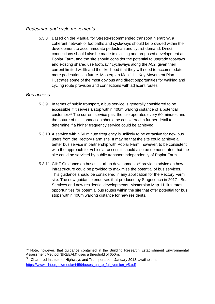#### *Pedestrian and cycle movements*

5.3.8 Based on the Manual for Streets-recommended transport hierarchy, a coherent network of footpaths and cycleways should be provided within the development to accommodate pedestrian and cyclist demand. Direct connections should also be made to existing and proposed development at Poplar Farm, and the site should consider the potential to upgrade footways and existing shared use footway / cycleways along the A52, given their current limited width and the likelihood that they will need to accommodate more pedestrians in future. Masterplan Map 11 – Key Movement Plan illustrates some of the most obvious and direct opportunities for walking and cycling route provision and connections with adjacent routes.

#### *Bus access*

- 5.3.9 In terms of public transport, a bus service is generally considered to be accessible if it serves a stop within 400m walking distance of a potential customer.<sup>29</sup> The current service past the site operates every 60 minutes and the nature of this connection should be considered in further detail to determine if a higher frequency service could be achieved.
- 5.3.10 A service with a 60 minute frequency is unlikely to be attractive for new bus users from the Rectory Farm site. It may be that the site could achieve a better bus service in partnership with Poplar Farm; however, to be consistent with the approach for vehicular access it should also be demonstrated that the site could be serviced by public transport independently of Poplar Farm.
- 5.3.11 CIHT Guidance on buses in urban developments<sup>30</sup> provides advice on how infrastructure could be provided to maximise the potential of bus services. This guidance should be considered in any application for the Rectory Farm site. The new guidance endorses that produced by Stagecoach in 2017 - Bus Services and new residential developments. Masterplan Map 11 illustrates opportunities for potential bus routes within the site that offer potential for bus stops within 400m walking distance for new residents.

<sup>29</sup> Note, however, that guidance contained in the Building Research Establishment Environmental Assessment Method (BREEAM) uses a threshold of 650m.

 $30$  Chartered Institute of Highways and Transportation, January 2018, available at [https://www.ciht.org.uk/media/4459/buses\\_ua\\_tp\\_full\\_version\\_v5.pdf](https://www.ciht.org.uk/media/4459/buses_ua_tp_full_version_v5.pdf)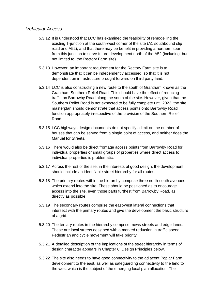#### *Vehicular Access*

- 5.3.12 It is understood that LCC has examined the feasibility of remodelling the existing T-junction at the south-west corner of the site (A1 southbound slip road and A52), and that there may be benefit in providing a northern spur from this junction to serve future development north of the A52 (including, but not limited to, the Rectory Farm site).
- 5.3.13 However, an important requirement for the Rectory Farm site is to demonstrate that it can be independently accessed, so that it is not dependent on infrastructure brought forward on third party land.
- 5.3.14 LCC is also constructing a new route to the south of Grantham known as the Grantham Southern Relief Road. This should have the effect of reducing traffic on Barrowby Road along the south of the site. However, given that the Southern Relief Road is not expected to be fully complete until 2023, the site masterplan should demonstrate that access points onto Barrowby Road function appropriately irrespective of the provision of the Southern Relief Road.
- 5.3.15 LCC highways design documents do not specify a limit on the number of houses that can be served from a single point of access, and neither does the Manual for Streets.
- 5.3.16 There would also be direct frontage access points from Barrowby Road for individual properties or small groups of properties where direct access to individual properties is problematic.
- 5.3.17 Across the rest of the site, in the interests of good design, the development should include an identifiable street hierarchy for all routes.
- 5.3.18 The primary routes within the hierarchy comprise three north-south avenues which extend into the site. These should be positioned as to encourage access into the site, even those parts furthest from Barrowby Road, as directly as possible.
- 5.3.19 The secondary routes comprise the east-west lateral connections that intersect with the primary routes and give the development the basic structure of a grid.
- 5.3.20 The tertiary routes in the hierarchy comprise mews streets and edge lanes. These are local streets designed with a marked reduction in traffic speed. Pedestrian and cycle movement will take priority.
- 5.3.21 A detailed description of the implications of the street hierarchy in terms of design character appears in Chapter 6: Design Principles below.
- 5.3.22 The site also needs to have good connectivity to the adjacent Poplar Farm development to the east, as well as safeguarding connectivity to the land to the west which is the subject of the emerging local plan allocation. The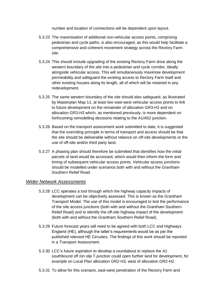number and location of connections will be dependent upon layout.

- 5.3.23 The maximisation of additional non-vehicular access points, comprising pedestrian and cycle paths, is also encouraged, as this would help facilitate a comprehensive and coherent movement strategy across the Rectory Farm site.
- 5.3.24 This should include upgrading of the existing Rectory Farm drive along the western boundary of the site into a pedestrian and cycle corridor, ideally alongside vehicular access. This will simultaneously maximise development permeability and safeguard the existing access to Rectory Farm itself and other existing houses along its length, all of which will be retained in any redevelopment.
- 5.3.25 The same western boundary of the site should also safeguard, as illustrated by Masterplan Map 11, at least two east-west vehicular access points to link to future development on the remainder of allocation GR3-H2 and on allocation GR3-H3 which, as mentioned previously, is more dependent on forthcoming remodelling decisions relating to the A1/A52 junction.
- 5.3.26 Based on the transport assessment work submitted to date, it is suggested that the overriding principle in terms of transport and access should be that the site should be deliverable without reliance on off-site developments or the use of off-site and/or third party land.
- 5.3.27 A phasing plan should therefore be submitted that identifies how the initial parcels of land would be accessed, which would then inform the form and timing of subsequent vehicular access points. Vehicular access junctions should be modelled under scenarios both with and without the Grantham Southern Relief Road.

#### *Wider Network Assessments*

- 5.3.28 LCC operates a tool through which the highway capacity impacts of development can be objectively assessed. This is known as the Grantham Transport Model. The use of this model is encouraged to test the performance of the site access junctions (both with and without the Grantham Southern Relief Road) and to identify the off-site highway impact of the development (both with and without the Grantham Southern Relief Road).
- 5.3.29 Future forecast years will need to be agreed with both LCC and Highways England (HE), although the latter's requirements would be as per the published relevant HE Circulars. The findings of this work should be reported in a Transport Assessment.
- 5.3.30 LCC's future aspiration to develop a roundabout to replace the A1 southbound off /on slip T-junction could open further land for development, for example on Local Plan allocation GR2-H3, west of allocation GR2-H2.
- 5.3.31 To allow for this scenario, east-west penetration of the Rectory Farm and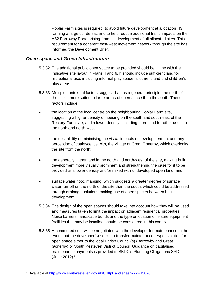Poplar Farm sites is required, to avoid future development at allocation H3 forming a large cul-de-sac and to help reduce additional traffic impacts on the A52 Barrowby Road arising from full development of all allocated sites. This requirement for a coherent east-west movement network through the site has informed the Development Brief.

#### *Open space and Green Infrastructure*

- 5.3.32 The additional public open space to be provided should be in line with the indicative site layout in Plans 4 and 6. It should include sufficient land for recreational use, including informal play space, allotment land and children's play areas.
- 5.3.33 Multiple contextual factors suggest that, as a general principle, the north of the site is more suited to large areas of open space than the south. These factors include:
- the location of the local centre on the neighbouring Poplar Farm site, suggesting a higher density of housing on the south and south-east of the Rectory Farm site, and a lower density, including more land for other uses, to the north and north-west;
- the desirability of minimising the visual impacts of development on, and any perception of coalescence with, the village of Great Gonerby, which overlooks the site from the north;
- the generally higher land in the north and north-west of the site, making built development more visually prominent and strengthening the case for it to be provided at a lower density and/or mixed with undeveloped open land; and
- surface water flood mapping, which suggests a greater degree of surface water run-off on the north of the site than the south, which could be addressed through drainage solutions making use of open spaces between built development.
- 5.3.34 The design of the open spaces should take into account how they will be used and measures taken to limit the impact on adjacent residential properties. Noise barriers, landscape bunds and the type or location of leisure equipment facilities that may be installed should be considered in this context.
- 5.3.35 A commuted sum will be negotiated with the developer for maintenance in the event that the developer(s) seeks to transfer maintenance responsibilities for open space either to the local Parish Council(s) (Barrowby and Great Gonerby) or South Kesteven District Council. Guidance on capitalised maintenance payments is provided in SKDC's Planning Obligations SPD (June 2012). 31

<sup>31</sup> Available at<http://www.southkesteven.gov.uk/CHttpHandler.ashx?id=13870>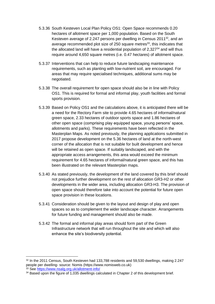- 5.3.36 South Kesteven Local Plan Policy OS1: Open Space recommends 0.20 hectares of allotment space per 1,000 population. Based on the South Kesteven average of 2.247 persons per dwelling in Census 2011<sup>32</sup>, and an average recommended plot size of 250 square metres<sup>33</sup>, this indicates that the allocated land will have a residential population of 2,327 $34$  and will thus require around 4,650 square metres (i.e. 0.47 hectares) of allotment space.
- 5.3.37 Interventions that can help to reduce future landscaping maintenance requirements, such as planting with low-nutrient soil, are encouraged. For areas that may require specialised techniques, additional sums may be negotiated.
- 5.3.38 The overall requirement for open space should also be in line with Policy OS1. This is required for formal and informal play, youth facilities and formal sports provision.
- 5.3.39 Based on Policy OS1 and the calculations above, it is anticipated there will be a need for the Rectory Farm site to provide 4.65 hectares of informal/natural green space, 2.33 hectares of outdoor sports space and 1.86 hectares of other open space (comprising play equipped space, young persons' space, allotments and parks). These requirements have been reflected in the Masterplan Maps. As noted previously, the planning applications submitted in 2017 propose development on the 5.36 hectares of land at the north-west corner of the allocation that is not suitable for built development and hence will be retained as open space. If suitably landscaped, and with the appropriate access arrangements, this area would exceed the minimum requirement for 4.65 hectares of informal/natural green space, and this has been illustrated on the relevant Masterplan maps.
- 5.3.40 As stated previously, the development of the land covered by this brief should not prejudice further development on the rest of allocation GR3-H2 or other developments in the wider area, including allocation GR3-H3. The provision of open space should therefore take into account the potential for future open space provision in these locations.
- 5.3.41 Consideration should be given to the layout and design of play and open spaces so as to complement the wider landscape character. Arrangements for future funding and management should also be made.
- 5.3.42 The formal and informal play areas should form part of the Green Infrastructure network that will run throughout the site and which will also enhance the site's biodiversity potential.

<sup>&</sup>lt;sup>32</sup> In the 2011 Census, South Kesteven had 133,788 residents and 59,530 dwellings, making 2.247 people per dwelling- source: Nomis (https://www.nomisweb.co.uk) <sup>33</sup> See<https://www.nsalg.org.uk/allotment-info/>

<sup>&</sup>lt;sup>34</sup> Based upon the figure of 1,035 dwellings calculated in Chapter 2 of this development brief.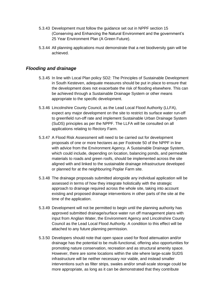- 5.3.43 Development must follow the guidance set out in NPPF section 15 (Conserving and Enhancing the Natural Environment and the government's 25 Year Environment Plan (A Green Future).
- 5.3.44 All planning applications must demonstrate that a net biodiversity gain will be achieved.

#### *Flooding and drainage*

- 5.3.45 In line with Local Plan policy SD2: The Principles of Sustainable Development in South Kesteven, adequate measures should be put in place to ensure that the development does not exacerbate the risk of flooding elsewhere. This can be achieved through a Sustainable Drainage System or other means appropriate to the specific development.
- 5.3.46 Lincolnshire County Council, as the Lead Local Flood Authority (LLFA), expect any major development on the site to restrict its surface water run-off to greenfield run-off rate and implement Sustainable Urban Drainage System (SuDS) principles as per the NPPF. The LLFA will be consulted on all applications relating to Rectory Farm.
- 5.3.47 A Flood Risk Assessment will need to be carried out for development proposals of one or more hectares as per Footnote 50 of the NPPF in line with advice from the Environment Agency. A Sustainable Drainage System, which could include, depending on location, balancing ponds, and permeable materials to roads and green roofs, should be implemented across the site aligned with and linked to the sustainable drainage infrastructure developed or planned for at the neighbouring Poplar Farm site.
- 5.3.48 The drainage proposals submitted alongside any individual application will be assessed in terms of how they integrate holistically with the strategic approach to drainage required across the whole site, taking into account existing and proposed drainage interventions in other parts of the site at the time of the application.
- 5.3.49 Development will not be permitted to begin until the planning authority has approved submitted drainage/surface water run off management plans with input from Anglian Water, the Environment Agency and Lincolnshire County Council as the Lead Local Flood Authority. A condition to this effect will be attached to any future planning permission.
- 5.3.50 Developers should note that open space used for flood attenuation and/or drainage has the potential to be multi-functional, offering also opportunities for promoting nature conservation, recreation and as structural amenity space. However, there are some locations within the site where large-scale SUDS infrastructure will be neither necessary nor viable, and instead smaller interventions such as filter strips, swales and/or small-scale storage could be more appropriate, as long as it can be demonstrated that they contribute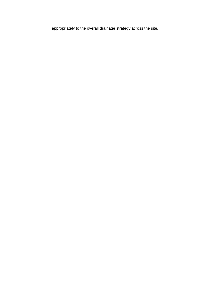appropriately to the overall drainage strategy across the site.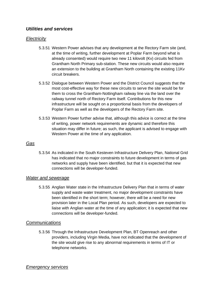#### *Utilities and services*

#### *Electricity*

- 5.3.51 Western Power advises that any development at the Rectory Farm site (and, at the time of writing, further development at Poplar Farm beyond what is already consented) would require two new 11 kilovolt (Kv) circuits fed from Grantham North Primary sub-station. These new circuits would also require an extension to the building at Grantham North containing the existing 11Kv circuit breakers.
- 5.3.52 Dialogue between Western Power and the District Council suggests that the most cost-effective way for these new circuits to serve the site would be for them to cross the Grantham-Nottingham railway line via the land over the railway tunnel north of Rectory Farm itself. Contributions for this new infrastructure will be sought on a proportional basis from the developers of Poplar Farm as well as the developers of the Rectory Farm site.
- 5.3.53 Western Power further advise that, although this advice is correct at the time of writing, power network requirements are dynamic and therefore this situation may differ in future; as such, the applicant is advised to engage with Western Power at the time of any application.

#### *Gas*

5.3.54 As indicated in the South Kesteven Infrastructure Delivery Plan, National Grid has indicated that no major constraints to future development in terms of gas networks and supply have been identified, but that it is expected that new connections will be developer-funded.

#### *Water and sewerage*

5.3.55 Anglian Water state in the Infrastructure Delivery Plan that in terms of water supply and waste water treatment, no major development constraints have been identified in the short term; however, there will be a need for new provision later in the Local Plan period. As such, developers are expected to liaise with Anglian water at the time of any application; it is expected that new connections will be developer-funded.

#### *Communications*

5.3.56 Through the Infrastructure Development Plan, BT Openreach and other providers, including Virgin Media, have not indicated that the development of the site would give rise to any abnormal requirements in terms of IT or telephone networks.

#### *Emergency services*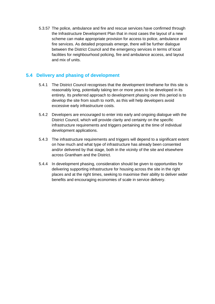5.3.57 The police, ambulance and fire and rescue services have confirmed through the Infrastructure Development Plan that in most cases the layout of a new scheme can make appropriate provision for access to police, ambulance and fire services. As detailed proposals emerge, there will be further dialogue between the District Council and the emergency services in terms of local facilities for neighbourhood policing, fire and ambulance access, and layout and mix of units.

#### <span id="page-37-0"></span>**5.4 Delivery and phasing of development**

- 5.4.1 The District Council recognises that the development timeframe for this site is reasonably long, potentially taking ten or more years to be developed in its entirety. Its preferred approach to development phasing over this period is to develop the site from south to north, as this will help developers avoid excessive early infrastructure costs.
- 5.4.2 Developers are encouraged to enter into early and ongoing dialogue with the District Council, which will provide clarity and certainty on the specific infrastructure requirements and triggers pertaining at the time of individual development applications.
- 5.4.3 The infrastructure requirements and triggers will depend to a significant extent on how much and what type of infrastructure has already been consented and/or delivered by that stage, both in the vicinity of the site and elsewhere across Grantham and the District.
- 5.4.4 In development phasing, consideration should be given to opportunities for delivering supporting infrastructure for housing across the site in the right places and at the right times, seeking to maximise their ability to deliver wider benefits and encouraging economies of scale in service delivery.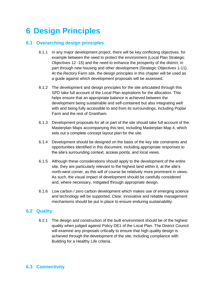### <span id="page-38-0"></span>**6 Design Principles**

#### <span id="page-38-1"></span>**6.1 Overarching design principles**

- 6.1.1 In any major development project, there will be key conflicting objectives, for example between the need to protect the environment (Local Plan Strategic Objectives 12 -15) and the need to enhance the prosperity of the district, in part through new housing and other development (Strategic Objectives 1-11). At the Rectory Farm site, the design principles in this chapter will be used as a guide against which development proposals will be assessed.
- 6.1.2 The development and design principles for the site articulated through this SPD take full account of the Local Plan aspirations for the allocation. This helps ensure that an appropriate balance is achieved between the development being sustainable and self-contained but also integrating well with and being fully accessible to and from its surroundings, including Poplar Farm and the rest of Grantham.
- 6.1.3 Development proposals for all or part of the site should take full account of the Masterplan Maps accompanying this text, including Masterplan Map 4, which sets out a complete concept layout plan for the site.
- 6.1.4 Development should be designed on the basis of the key site constraints and opportunities identified in this document, including appropriate responses to the site's surrounding context, access points, and local views.
- 6.1.5 Although these considerations should apply to the development of the entire site, they are particularly relevant to the highest land within it, at the site's north-west corner, as this will of course be relatively more prominent in views. As such, the visual impact of development should be carefully considered and, where necessary, mitigated through appropriate design.
- 6.1.6 Low carbon / zero carbon development which makes use of emerging science and technology will be supported. Clear, innovative and reliable management mechanisms should be put in place to ensure enduring sustainability.

#### <span id="page-38-2"></span>**6.2 Quality**

6.2.1 The design and construction of the built environment should be of the highest quality when judged against Policy DE1 of the Local Plan. The District Council will examine any proposals critically to ensure that high quality design is achieved through the development of the site, including compliance with Building for a Healthy Life criteria.

### <span id="page-38-3"></span>**6.3 Connectivity**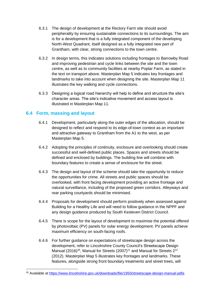- 6.3.1 The design of development at the Rectory Farm site should avoid peripherality by ensuring sustainable connections to its surroundings. The aim is for a development that is a fully integrated component of the developing North-West Quadrant, itself designed as a fully integrated new part of Grantham, with clear, strong connections to the town centre.
- 6.3.2 In design terms, this indicates solutions including frontages to Barrowby Road and improving pedestrian and cycle links between the site and the town centre, as well as to community facilities at nearby Poplar Farm, as stated in the text on transport above. Masterplan Map 5 indicates key frontages and landmarks to take into account when designing the site. Masterplan Map 11 illustrates the key walking and cycle connections.
- 6.3.3 Designing a logical road hierarchy will help to define and structure the site's character areas. The site's indicative movement and access layout is illustrated in Masterplan Map 11.

#### <span id="page-39-0"></span>**6.4 Form, massing and layout**

- 6.4.1 Development, particularly along the outer edges of the allocation, should be designed to reflect and respond to its edge-of-town context as an important and attractive gateway to Grantham from the A1 to the west, as per Masterplan Map 5.
- 6.4.2 Adopting the principles of continuity, enclosure and overlooking should create successful and well-defined public places. Spaces and streets should be defined and enclosed by buildings. The building line will combine with boundary features to create a sense of enclosure for the street.
- 6.4.3 The design and layout of the scheme should take the opportunity to reduce the opportunities for crime. All streets and public spaces should be overlooked, with front facing development providing an active frontage and natural surveillance, including of the proposed green corridors. Alleyways and rear parking courtyards should be minimised.
- 6.4.4 Proposals for development should perform positively when assessed against Building for a Healthy Life and will need to follow guidance in the NPPF and any design guidance produced by South Kesteven District Council.
- 6.4.5 There is scope for the layout of development to maximise the potential offered by photovoltaic (PV) panels for solar energy development. PV panels achieve maximum efficiency on south-facing roofs.
- 6.4.6 For further guidance on expectations of streetscape design across the development, refer to Lincolnshire County Council's Streetscape Design Manual (2016)<sup>35</sup>, Manual for Streets (2007)<sup>11</sup> and Manual for Streets 2<sup>12</sup> (2012). Masterplan Map 5 illustrates key frontages and landmarks. These features, alongside strong front boundary treatments and street trees, will

<sup>35</sup> Available at<https://www.lincolnshire.gov.uk/downloads/file/1950/streetscape-design-manual-pdfa>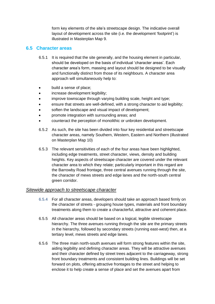form key elements of the site's streetscape design. The indicative overall layout of development across the site (i.e. the development 'footprint') is illustrated in Masterplan Map 9.

#### <span id="page-40-0"></span>**6.5 Character areas**

- 6.5.1 It is required that the site generally, and the housing element in particular, should be developed on the basis of individual 'character areas'. Each character area's form, massing and layout should be designed to be visually and functionally distinct from those of its neighbours. A character area approach will simultaneously help to:
- build a sense of place;
- increase development legibility;
- improve townscape through varying building scale, height and type;
- ensure that streets are well-defined, with a strong character to aid legibility;
- soften the landscape and visual impact of development;
- promote integration with surrounding areas; and
- counteract the perception of monolithic or unbroken development.
- 6.5.2 As such, the site has been divided into four key residential and streetscape character areas, namely Southern, Western, Eastern and Northern (illustrated on Masterplan Map 10)
- 6.5.3 The relevant sensitivities of each of the four areas have been highlighted, including edge treatments, street character, views, density and building heights. Key aspects of streetscape character are covered under the relevant character area to which they relate; particularly important in this regard are the Barrowby Road frontage, three central avenues running through the site, the character of mews streets and edge lanes and the north-south central green corridor.

#### *Sitewide approach to streetscape character*

- 6.5.4 For all character areas, developers should take an approach based firmly on the character of streets - grouping house types, materials and front boundary treatments along them to create a characterful, attractive and coherent place.
- 6.5.5 All character areas should be based on a logical, legible streetscape hierarchy. The three avenues running through the site are the primary streets in the hierarchy, followed by secondary streets (running east-west) then, at a tertiary level, mews streets and edge lanes.
- 6.5.6 The three main north-south avenues will form strong features within the site, aiding legibility and defining character areas. They will be attractive avenues and their character defined by street trees adjacent to the carriageway, strong front boundary treatments and consistent building lines. Buildings will be set forward on plots, offering attractive frontages to the street and helping to enclose it to help create a sense of place and set the avenues apart from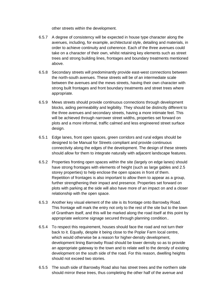other streets within the development.

- 6.5.7 A degree of consistency will be expected in house type character along the avenues, including, for example, architectural style, detailing and materials, in order to achieve continuity and coherence. Each of the three avenues could take on a character of their own, whilst retaining key elements such as street trees and strong building lines, frontages and boundary treatments mentioned above.
- 6.5.8 Secondary streets will predominantly provide east-west connections between the north-south avenues. These streets will be of an intermediate scale between the avenues and the mews streets, having their own character with strong built frontages and front boundary treatments and street trees where appropriate.
- 6.5.9 Mews streets should provide continuous connections through development blocks, aiding permeability and legibility. They should be distinctly different to the three avenues and secondary streets, having a more intimate feel. This will be achieved through narrower street widths, properties set forward on plots and a more informal, traffic calmed and less engineered street surface design.
- 6.5.1 Edge lanes, front open spaces, green corridors and rural edges should be designed to be Manual for Streets compliant and provide continuous connectivity along the edges of the development. The design of these streets should allow for them to integrate naturally with adjacent landscape features.
- 6.5.2 Properties fronting open spaces within the site (largely on edge lanes) should have strong frontages with elements of height (such as large gables and 2.5 storey properties) to help enclose the open spaces in front of them. Repetition of frontages is also important to allow them to appear as a group, further strengthening their impact and presence. Properties set forward on plots with parking at the side will also have more of an impact on and a closer relationship with the open space.
- 6.5.3 Another key visual element of the site is its frontage onto Barrowby Road. This frontage will mark the entry not only to the rest of the site but to the town of Grantham itself, and this will be marked along the road itself at this point by appropriate welcome signage secured through planning condition..
- 6.5.4 To respect this requirement, houses should face the road and not turn their back to it. Equally, despite it being close to the Poplar Farm local centre, which would otherwise be a reason for higher-density development, development lining Barrowby Road should be lower density so as to provide an appropriate gateway to the town and to relate well to the density of existing development on the south side of the road. For this reason, dwelling heights should not exceed two stories.
- 6.5.5 The south side of Barrowby Road also has street trees and the northern side should mirror these trees, thus completing the other half of the avenue and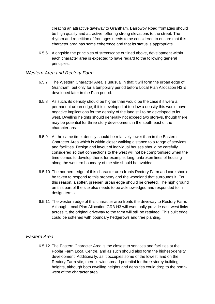creating an attractive gateway to Grantham. Barrowby Road frontages should be high quality and attractive, offering strong elevations to the street. The rhythm and repetition of frontages needs to be considered to ensure that this character area has some coherence and that its status is appropriate.

6.5.6 Alongside the principles of streetscape outlined above, development within each character area is expected to have regard to the following general principles:

#### *Western Area and Rectory Farm*

- 6.5.7 The Western Character Area is unusual in that it will form the urban edge of Grantham, but only for a temporary period before Local Plan Allocation H3 is developed later in the Plan period.
- 6.5.8 As such, its density should be higher than would be the case if it were a permanent urban edge; if it is developed at too low a density this would have negative implications for the density of the land still to be developed to its west. Dwelling heights should generally not exceed two storeys, though there may be potential for three-story development in the south-east of the character area.
- 6.5.9 At the same time, density should be relatively lower than in the Eastern Character Area which is within closer walking distance to a range of services and facilities. Design and layout of individual houses should be carefully considered so that connections to the west will not be compromised when the time comes to develop there; for example, long, unbroken lines of housing along the western boundary of the site should be avoided.
- 6.5.10 The northern edge of this character area fronts Rectory Farm and care should be taken to respond to this property and the woodland that surrounds it. For this reason, a softer, greener, urban edge should be created. The high ground on this part of the site also needs to be acknowledged and responded to in design terms.
- 6.5.11 The western edge of this character area fronts the driveway to Rectory Farm. Although Local Plan Allocation GR3-H3 will eventually provide east-west links across it, the original driveway to the farm will still be retained. This built edge could be softened with boundary hedgerows and tree planting.

#### *Eastern Area*

6.5.12 The Eastern Character Area is the closest to services and facilities at the Poplar Farm Local Centre, and as such should also form the highest-density development, Additionally, as it occupies some of the lowest land on the Rectory Farm site, there is widespread potential for three storey building heights, although both dwelling heights and densities could drop to the northwest of the character area.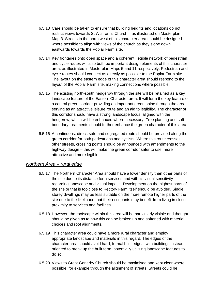- 6.5.13 Care should be taken to ensure that building heights and locations do not restrict views towards St Wulfram's Church – as illustrated on Masterplan Map 3. Streets in the north west of this character area should be designed where possible to align with views of the church as they slope down eastwards towards the Poplar Farm site.
- 6.5.14 Key frontages onto open space and a coherent, legible network of pedestrian and cycle routes will also both be important design elements of this character area, as illustrated in Masterplan Maps 5 and 11 respectively. Pedestrian and cycle routes should connect as directly as possible to the Poplar Farm site. The layout on the eastern edge of this character area should respond to the layout of the Poplar Farm site, making connections where possible.
- 6.5.15 The existing north-south hedgerow through the site will be retained as a key landscape feature of the Eastern Character area. It will form the key feature of a central green corridor providing an important green spine through the area, serving as an attractive leisure route and an aid to legibility. The character of this corridor should have a strong landscape focus, aligned with the hedgerow, which will be enhanced where necessary. Tree planting and soft boundary treatments should further enhance the green character of this area.
- 6.5.16 A continuous, direct, safe and segregated route should be provided along the green corridor for both pedestrians and cyclists. Where this route crosses other streets, crossing points should be announced with amendments to the highway design – this will make the green corridor safer to use, more attractive and more legible.

#### *Northern Area – rural edge*

- 6.5.17 The Northern Character Area should have a lower density than other parts of the site due to its distance form services and with its visual sensitivity regarding landscape and visual impact. Development on the highest parts of the site or that is too close to Rectory Farm itself should be avoided. Single storey dwellings may be less suitable on the more remote higher parts of the site due to the likelihood that their occupants may benefit from living in close proximity to services and facilities.
- 6.5.18 However, the roofscape within this area will be particularly visible and thought should be given as to how this can be broken up and softened with material choices and roof alignments.
- 6.5.19 This character area could have a more rural character and employ appropriate landscape and materials in this regard. The edges of the character area should avoid hard, formal built edges, with buildings instead oriented to break up the built form, potentially utilising landscape features to do so.
- 6.5.20 Views to Great Gonerby Church should be maximised and kept clear where possible, for example through the alignment of streets. Streets could be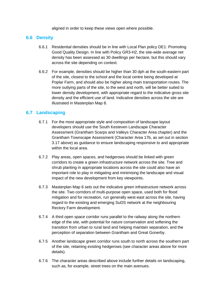aligned in order to keep these views open where possible.

#### <span id="page-44-0"></span>**6.6 Density**

- 6.6.1 Residential densities should be in line with Local Plan policy DE1: Promoting Good Quality Design. In line with Policy GR3-H2, the site-wide average net density has been assessed as 30 dwellings per hectare, but this should vary across the site depending on context.
- 6.6.2 For example, densities should be higher than 30 dph at the south-eastern part of the site, closest to the school and the local centre being developed at Poplar Farm, and should also be higher along main transportation routes. The more outlying parts of the site, to the west and north, will be better suited to lower density development, with appropriate regard to the indicative gross site density and the efficient use of land. Indicative densities across the site are illustrated in Masterplan Map 8.

#### <span id="page-44-1"></span>**6.7 Landscaping**

- 6.7.1 For the most appropriate style and composition of landscape layout developers should use the South Kesteven Landscape Character Assessment (Grantham Scarps and Valleys Character Area chapter) and the Grantham Townscape Assessment (Character Area 17b, as set out in section 3.17 above) as guidance to ensure landscaping responsive to and appropriate within the local area.
- 6.7.2 Play areas, open spaces, and hedgerows should be linked with green corridors to create a green infrastructure network across the site. Tree and shrub planting in appropriate locations across the site could also have an important role to play in mitigating and minimising the landscape and visual impact of the new development from key viewpoints.
- 6.7.3 Masterplan Map 6 sets out the indicative green infrastructure network across the site. Two corridors of multi-purpose open space, used both for flood mitigation and for recreation, run generally west-east across the site, having regard to the existing and emerging SuDS network at the neighbouring Rectory Farm development.
- 6.7.4 A third open space corridor runs parallel to the railway along the northern edge of the site, with potential for nature conservation and softening the transition from urban to rural land and helping maintain separation, and the perception of separation between Grantham and Great Gonerby.
- 6.7.5 Another landscape green corridor runs south to north across the southern part of the site, retaining existing hedgerows (see character areas above for more details).
- 6.7.6 The character areas described above include further details on landscaping, such as, for example, street trees on the main avenues.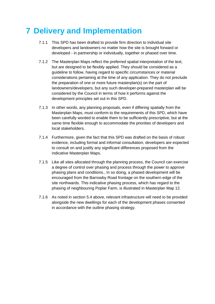### <span id="page-46-0"></span>**7 Delivery and Implementation**

- 7.1.1 This SPD has been drafted to provide firm direction to individual site developers and landowners no matter how the site is brought forward or developed - in partnership or individually, together or phased over time.
- 7.1.2 The Masterplan Maps reflect the preferred spatial interpretation of the text, but are designed to be flexibly applied. They should be considered as a guideline to follow, having regard to specific circumstances or material considerations pertaining at the time of any application. They do not preclude the preparation of one or more future masterplan(s) on the part of landowners/developers, but any such developer-prepared masterplan will be considered by the Council in terms of how it performs against the development principles set out in this SPD.
- 7.1.3 In other words, any planning proposals, even if differing spatially from the Masterplan Maps, must conform to the requirements of this SPD, which have been carefully worded to enable them to be sufficiently prescriptive, but at the same time flexible enough to accommodate the priorities of developers and local stakeholders.
- 7.1.4 Furthermore, given the fact that this SPD was drafted on the basis of robust evidence, including formal and informal consultation, developers are expected to consult on and justify any significant differences proposed from the indicative Masterplan Maps.
- 7.1.5 Like all sites allocated through the planning process, the Council can exercise a degree of control over phasing and process through the power to approve phasing plans and conditions., In so doing, a phased development will be encouraged from the Barrowby Road frontage on the southern edge of the site northwards. This indicative phasing process, which has regard to the phasing of neighbouring Poplar Farm, is illustrated in Masterplan Map 12.
- 7.1.6 As noted in section 5.4 above, relevant infrastructure will need to be provided alongside the new dwellings for each of the development phases consented in accordance with the outline phasing strategy.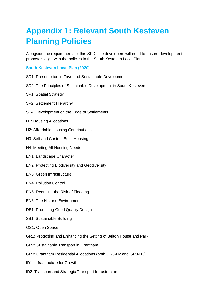## <span id="page-47-0"></span>**Appendix 1: Relevant South Kesteven Planning Policies**

Alongside the requirements of this SPD, site developers will need to ensure development proposals align with the policies in the South Kesteven Local Plan:

#### <span id="page-47-1"></span>**South Kesteven Local Plan (2020)**

- SD1: Presumption in Favour of Sustainable Development
- SD2: The Principles of Sustainable Development in South Kesteven
- SP1: Spatial Strategy
- SP2: Settlement Hierarchy
- SP4: Development on the Edge of Settlements
- H1: Housing Allocations
- H2: Affordable Housing Contributions
- H3: Self and Custom Build Housing
- H4: Meeting All Housing Needs
- EN1: Landscape Character
- EN2: Protecting Biodiversity and Geodiversity
- EN3: Green Infrastructure
- EN4: Pollution Control
- EN5: Reducing the Risk of Flooding
- EN6: The Historic Environment
- DE1: Promoting Good Quality Design
- SB1: Sustainable Building
- OS1: Open Space
- GR1: Protecting and Enhancing the Setting of Belton House and Park
- GR2: Sustainable Transport in Grantham
- GR3: Grantham Residential Allocations (both GR3-H2 and GR3-H3)
- ID1: Infrastructure for Growth
- ID2: Transport and Strategic Transport Infrastructure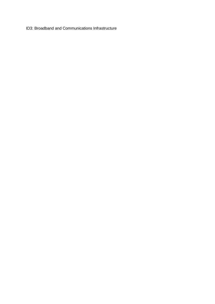ID3: Broadband and Communications Infrastructure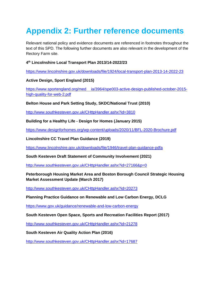### <span id="page-49-0"></span>**Appendix 2: Further reference documents**

Relevant national policy and evidence documents are referenced in footnotes throughout the text of this SPD. The following further documents are also relevant in the development of the Rectory Farm site.

#### **4 th Lincolnshire Local Transport Plan 2013/14-2022/23**

<https://www.lincolnshire.gov.uk/downloads/file/1924/local-transport-plan-2013-14-2022-23>

**Active Design, Sport England (2015)**

https://www.sportengland.org/med [ia/3964/spe003-active-design-published-october-2015](https://www.sportengland.org/media/3964/spe003-active-design-published-october-2015-high-quality-for-web-2.pdf) [high-quality-for-web-2.pdf](https://www.sportengland.org/media/3964/spe003-active-design-published-october-2015-high-quality-for-web-2.pdf)

**Belton House and Park Setting Study, SKDC/National Trust (2010)**

<http://www.southkesteven.gov.uk/CHttpHandler.ashx?id=3810>

**Building for a Healthy Life - Design for Homes (January 2015)**

<https://www.designforhomes.org/wp-content/uploads/2020/11/BFL-2020-Brochure.pdf>

**Lincolnshire CC Travel Plan Guidance (2019)**

<https://www.lincolnshire.gov.uk/downloads/file/1946/travel-plan-guidance-pdfa>

**South Kesteven Draft Statement of Community Involvement (2021)**

<http://www.southkesteven.gov.uk/CHttpHandler.ashx?id=27166&p=0>

**Peterborough Housing Market Area and Boston Borough Council Strategic Housing Market Assessment Update (March 2017)**

<http://www.southkesteven.gov.uk/CHttpHandler.ashx?id=20273>

**Planning Practice Guidance on Renewable and Low Carbon Energy, DCLG**

https://www.gov.uk/guidance/renewable-and-low-carbon-energy

**South Kesteven Open Space, Sports and Recreation Facilities Report (2017)**

<http://www.southkesteven.gov.uk/CHttpHandler.ashx?id=21278>

**South Kesteven Air Quality Action Plan (2016)**

<http://www.southkesteven.gov.uk/CHttpHandler.ashx?id=17687>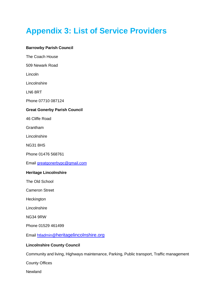## <span id="page-50-0"></span>**Appendix 3: List of Service Providers**

#### **Barrowby Parish Council**

The Coach House 509 Newark Road Lincoln Lincolnshire LN6 8RT Phone 07710 087124 **Great Gonerby Parish Council**  46 Cliffe Road Grantham **Lincolnshire** NG31 8HS Phone 01476 568761 Email [greatgonerbypc@gmail.com](mailto:greatgonerbypc@gmail.com) **Heritage Lincolnshire** The Old School Cameron Street **Heckington** Lincolnshire NG34 9RW Phone 01529 461499 Email htladmin@heritagelincolnshire.org **Lincolnshire County Council** Community and living, Highways maintenance, Parking, Public transport, Traffic management

County Offices

Newland